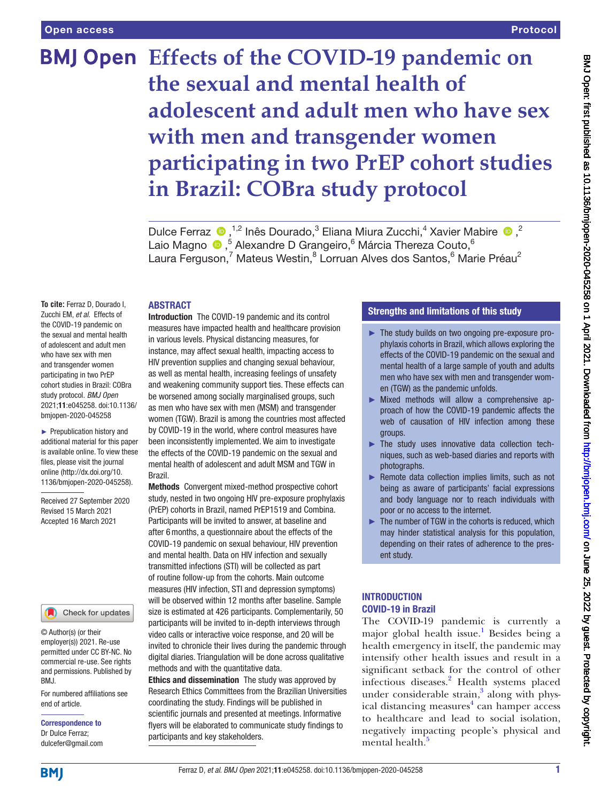# **BMJ Open Effects of the COVID-19 pandemic on the sexual and mental health of adolescent and adult men who have sex with men and transgender women participating in two PrEP cohort studies in Brazil: COBra study protocol**

Dulce Ferraz  $\bullet$ ,<sup>1,2</sup> Inês Dourado,<sup>3</sup> Eliana Miura Zucchi,<sup>4</sup> Xavier Mabire  $\bullet$ ,<sup>2</sup> Laio Magno <sup>®</sup>,<sup>5</sup> Alexandre D Grangeiro,<sup>6</sup> Márcia Thereza Couto,<sup>6</sup> Laura Ferguson,<sup>7</sup> Mateus Westin,<sup>8</sup> Lorruan Alves dos Santos,<sup>6</sup> Marie Préau<sup>2</sup>

### ABSTRACT

**To cite:** Ferraz D, Dourado I, Zucchi EM, *et al*. Effects of the COVID-19 pandemic on the sexual and mental health of adolescent and adult men who have sex with men and transgender women participating in two PrEP cohort studies in Brazil: COBra study protocol. *BMJ Open* 2021;11:e045258. doi:10.1136/ bmjopen-2020-045258

► Prepublication history and additional material for this paper is available online. To view these files, please visit the journal online (http://dx.doi.org/10. 1136/bmjopen-2020-045258).

Received 27 September 2020 Revised 15 March 2021 Accepted 16 March 2021

### Check for updates

© Author(s) (or their employer(s)) 2021. Re-use permitted under CC BY-NC. No commercial re-use. See rights and permissions. Published by BMJ.

For numbered affiliations see end of article.

Correspondence to Dr Dulce Ferraz; dulcefer@gmail.com

Introduction The COVID-19 pandemic and its control measures have impacted health and healthcare provision in various levels. Physical distancing measures, for instance, may affect sexual health, impacting access to HIV prevention supplies and changing sexual behaviour, as well as mental health, increasing feelings of unsafety and weakening community support ties. These effects can be worsened among socially marginalised groups, such as men who have sex with men (MSM) and transgender women (TGW). Brazil is among the countries most affected by COVID-19 in the world, where control measures have been inconsistently implemented. We aim to investigate the effects of the COVID-19 pandemic on the sexual and mental health of adolescent and adult MSM and TGW in Brazil.

Methods Convergent mixed-method prospective cohort study, nested in two ongoing HIV pre-exposure prophylaxis (PrEP) cohorts in Brazil, named PrEP1519 and Combina. Participants will be invited to answer, at baseline and after 6months, a questionnaire about the effects of the COVID-19 pandemic on sexual behaviour, HIV prevention and mental health. Data on HIV infection and sexually transmitted infections (STI) will be collected as part of routine follow-up from the cohorts. Main outcome measures (HIV infection, STI and depression symptoms) will be observed within 12 months after baseline. Sample size is estimated at 426 participants. Complementarily, 50 participants will be invited to in-depth interviews through video calls or interactive voice response, and 20 will be invited to chronicle their lives during the pandemic through digital diaries. Triangulation will be done across qualitative methods and with the quantitative data.

Ethics and dissemination The study was approved by Research Ethics Committees from the Brazilian Universities coordinating the study. Findings will be published in scientific journals and presented at meetings. Informative flyers will be elaborated to communicate study findings to participants and key stakeholders.

### Strengths and limitations of this study

- ► The study builds on two ongoing pre-exposure prophylaxis cohorts in Brazil, which allows exploring the effects of the COVID-19 pandemic on the sexual and mental health of a large sample of youth and adults men who have sex with men and transgender women (TGW) as the pandemic unfolds.
- ► Mixed methods will allow a comprehensive approach of how the COVID-19 pandemic affects the web of causation of HIV infection among these groups.
- ► The study uses innovative data collection techniques, such as web-based diaries and reports with photographs.
- ► Remote data collection implies limits, such as not being as aware of participants' facial expressions and body language nor to reach individuals with poor or no access to the internet.
- ► The number of TGW in the cohorts is reduced, which may hinder statistical analysis for this population, depending on their rates of adherence to the present study.

### **INTRODUCTION** COVID-19 in Brazil

The COVID-19 pandemic is currently a major global health issue.<sup>[1](#page-7-0)</sup> Besides being a health emergency in itself, the pandemic may intensify other health issues and result in a significant setback for the control of other infectious diseases.<sup>[2](#page-7-1)</sup> Health systems placed under considerable strain, $3$  along with physical distancing measures<sup>4</sup> can hamper access to healthcare and lead to social isolation, negatively impacting people's physical and mental health.<sup>[5](#page-7-4)</sup>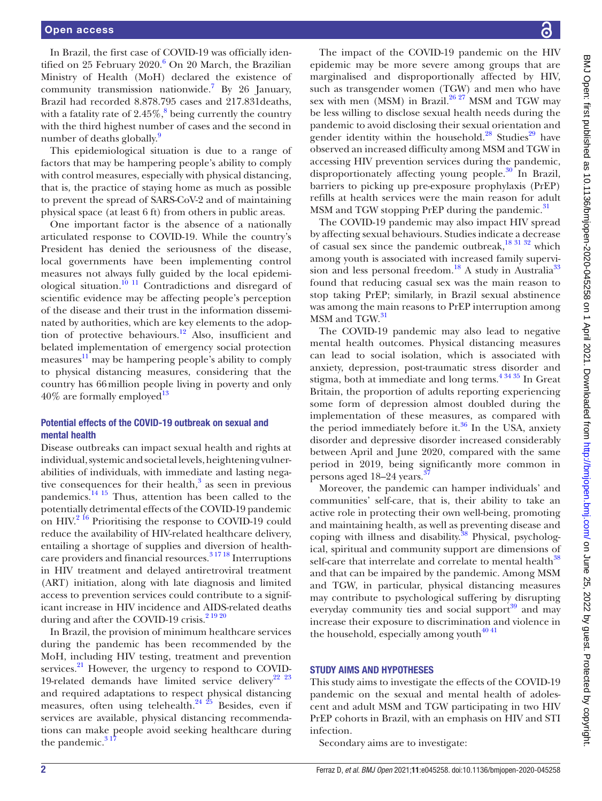In Brazil, the first case of COVID-19 was officially iden-tified on 25 February 2020.<sup>[6](#page-7-5)</sup> On 20 March, the Brazilian Ministry of Health (MoH) declared the existence of community transmission nationwide.<sup>[7](#page-7-6)</sup> By 26 January, Brazil had recorded 8.878.795 cases and 217.831deaths, with a fatality rate of  $2.45\%$ ,  $8$  being currently the country with the third highest number of cases and the second in number of deaths globally.<sup>[9](#page-7-8)</sup>

This epidemiological situation is due to a range of factors that may be hampering people's ability to comply with control measures, especially with physical distancing, that is, the practice of staying home as much as possible to prevent the spread of SARS-CoV-2 and of maintaining physical space (at least 6 ft) from others in public areas.

One important factor is the absence of a nationally articulated response to COVID-19. While the country's President has denied the seriousness of the disease, local governments have been implementing control measures not always fully guided by the local epidemiological situation.<sup>10 11</sup> Contradictions and disregard of scientific evidence may be affecting people's perception of the disease and their trust in the information disseminated by authorities, which are key elements to the adoption of protective behaviours.[12](#page-7-10) Also, insufficient and belated implementation of emergency social protection measures<sup>11</sup> may be hampering people's ability to comply to physical distancing measures, considering that the country has 66million people living in poverty and only  $40\%$  are formally employed<sup>13</sup>

### Potential effects of the COVID-19 outbreak on sexual and mental health

Disease outbreaks can impact sexual health and rights at individual, systemic and societal levels, heightening vulnerabilities of individuals, with immediate and lasting negative consequences for their health, $3$  as seen in previous pandemics. $14 \frac{15}{15}$  Thus, attention has been called to the potentially detrimental effects of the COVID-19 pandemic on HIV.<sup>2 16</sup> Prioritising the response to COVID-19 could reduce the availability of HIV-related healthcare delivery, entailing a shortage of supplies and diversion of healthcare providers and financial resources.<sup>31718</sup> Interruptions in HIV treatment and delayed antiretroviral treatment (ART) initiation, along with late diagnosis and limited access to prevention services could contribute to a significant increase in HIV incidence and AIDS-related deaths during and after the COVID-19 crisis.<sup>2 19 20</sup>

In Brazil, the provision of minimum healthcare services during the pandemic has been recommended by the MoH, including HIV testing, treatment and prevention services. $^{21}$  However, the urgency to respond to COVID-19-related demands have limited service delivery<sup>[22 23](#page-8-2)</sup> and required adaptations to respect physical distancing measures, often using telehealth.<sup>24</sup>  $\frac{25}{25}$  Besides, even if services are available, physical distancing recommendations can make people avoid seeking healthcare during the pandemic. $317$ 

The impact of the COVID-19 pandemic on the HIV epidemic may be more severe among groups that are marginalised and disproportionally affected by HIV, such as transgender women (TGW) and men who have sex with men  $(MSM)$  in Brazil.<sup>26, 27</sup> MSM and TGW may be less willing to disclose sexual health needs during the pandemic to avoid disclosing their sexual orientation and gender identity within the household.<sup>28</sup> Studies<sup>29</sup> have observed an increased difficulty among MSM and TGW in accessing HIV prevention services during the pandemic, disproportionately affecting young people.<sup>30</sup> In Brazil, barriers to picking up pre-exposure prophylaxis (PrEP) refills at health services were the main reason for adult MSM and TGW stopping PrEP during the pandemic.<sup>31</sup>

The COVID-19 pandemic may also impact HIV spread by affecting sexual behaviours. Studies indicate a decrease of casual sex since the pandemic outbreak, $18\frac{31\frac{32}{3}}{2}$  which among youth is associated with increased family supervi-sion and less personal freedom.<sup>18</sup> A study in Australia<sup>[33](#page-8-10)</sup> found that reducing casual sex was the main reason to stop taking PrEP; similarly, in Brazil sexual abstinence was among the main reasons to PrEP interruption among MSM and TGW.<sup>[31](#page-8-8)</sup>

The COVID-19 pandemic may also lead to negative mental health outcomes. Physical distancing measures can lead to social isolation, which is associated with anxiety, depression, post-traumatic stress disorder and stigma, both at immediate and long terms. $43435$  In Great Britain, the proportion of adults reporting experiencing some form of depression almost doubled during the implementation of these measures, as compared with the period immediately before it. $36$  In the USA, anxiety disorder and depressive disorder increased considerably between April and June 2020, compared with the same period in 2019, being significantly more common in persons aged 18–24 years.<sup>3</sup>

Moreover, the pandemic can hamper individuals' and communities' self-care, that is, their ability to take an active role in protecting their own well-being, promoting and maintaining health, as well as preventing disease and coping with illness and disability.<sup>38</sup> Physical, psychological, spiritual and community support are dimensions of self-care that interrelate and correlate to mental health<sup>[38](#page-8-13)</sup> and that can be impaired by the pandemic. Among MSM and TGW, in particular, physical distancing measures may contribute to psychological suffering by disrupting everyday community ties and social support $39$  and may increase their exposure to discrimination and violence in the household, especially among youth $4041$ 

### STUDY AIMS AND HYPOTHESES

This study aims to investigate the effects of the COVID-19 pandemic on the sexual and mental health of adolescent and adult MSM and TGW participating in two HIV PrEP cohorts in Brazil, with an emphasis on HIV and STI infection.

Secondary aims are to investigate: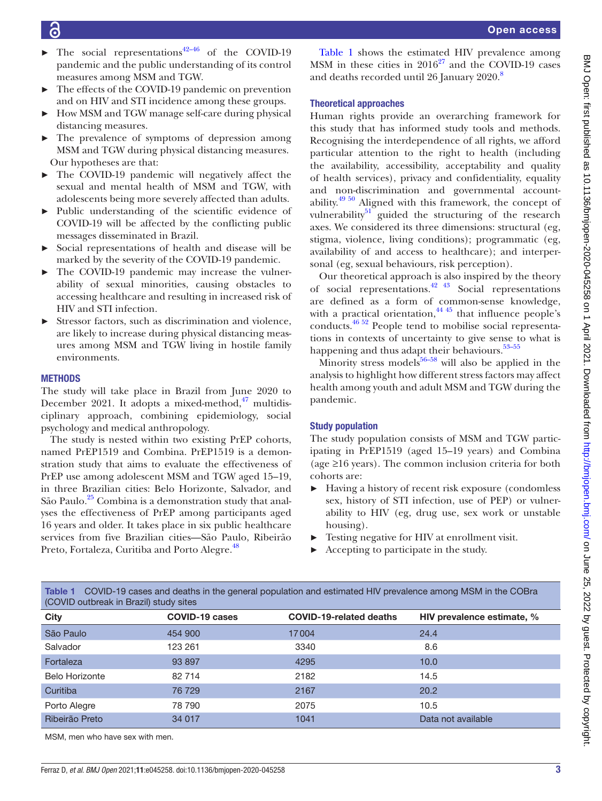| The social representations <sup>42-46</sup> of the COVID-19 |
|-------------------------------------------------------------|
| pandemic and the public understanding of its control        |
| measures among MSM and TGW.                                 |

- The effects of the COVID-19 pandemic on prevention and on HIV and STI incidence among these groups.
- ► How MSM and TGW manage self-care during physical distancing measures.
- ► The prevalence of symptoms of depression among MSM and TGW during physical distancing measures. Our hypotheses are that:
- ► The COVID-19 pandemic will negatively affect the sexual and mental health of MSM and TGW, with adolescents being more severely affected than adults.
- ► Public understanding of the scientific evidence of COVID-19 will be affected by the conflicting public messages disseminated in Brazil.
- ► Social representations of health and disease will be marked by the severity of the COVID-19 pandemic.
- ► The COVID-19 pandemic may increase the vulnerability of sexual minorities, causing obstacles to accessing healthcare and resulting in increased risk of HIV and STI infection.
- Stressor factors, such as discrimination and violence, are likely to increase during physical distancing measures among MSM and TGW living in hostile family environments.

### **METHODS**

The study will take place in Brazil from June 2020 to December 2021. It adopts a mixed-method, $^{47}$  multidisciplinary approach, combining epidemiology, social psychology and medical anthropology.

The study is nested within two existing PrEP cohorts, named PrEP1519 and Combina. PrEP1519 is a demonstration study that aims to evaluate the effectiveness of PrEP use among adolescent MSM and TGW aged 15–19, in three Brazilian cities: Belo Horizonte, Salvador, and São Paulo.<sup>[25](#page-8-18)</sup> Combina is a demonstration study that analyses the effectiveness of PrEP among participants aged 16 years and older. It takes place in six public healthcare services from five Brazilian cities—São Paulo, Ribeirão Preto, Fortaleza, Curitiba and Porto Alegre.<sup>[48](#page-8-19)</sup>

[Table](#page-2-0) 1 shows the estimated HIV prevalence among MSM in these cities in  $2016^{27}$  and the COVID-19 cases and deaths recorded until 26 January 2020.<sup>[8](#page-7-7)</sup>

### Theoretical approaches

Human rights provide an overarching framework for this study that has informed study tools and methods. Recognising the interdependence of all rights, we afford particular attention to the right to health (including the availability, accessibility, acceptability and quality of health services), privacy and confidentiality, equality and non-discrimination and governmental accountability. $49\frac{50}{1}$  Aligned with this framework, the concept of vulnerability $51$ <sup> $-$ </sup> guided the structuring of the research axes. We considered its three dimensions: structural (eg, stigma, violence, living conditions); programmatic (eg, availability of and access to healthcare); and interpersonal (eg, sexual behaviours, risk perception).

Our theoretical approach is also inspired by the theory of social representations[.42 43](#page-8-16) Social representations are defined as a form of common-sense knowledge, with a practical orientation, $44\frac{45}{10}$  that influence people's conducts.[46 52](#page-8-24) People tend to mobilise social representations in contexts of uncertainty to give sense to what is happening and thus adapt their behaviours.<sup>53-55</sup>

Minority stress models $56-58$  will also be applied in the analysis to highlight how different stress factors may affect health among youth and adult MSM and TGW during the pandemic.

### Study population

The study population consists of MSM and TGW participating in PrEP1519 (aged 15–19 years) and Combina (age ≥16 years). The common inclusion criteria for both cohorts are:

- ► Having a history of recent risk exposure (condomless sex, history of STI infection, use of PEP) or vulnerability to HIV (eg, drug use, sex work or unstable housing).
- ► Testing negative for HIV at enrollment visit.
- ► Accepting to participate in the study.

| (COVID outbreak in Brazil) study sites |                       |                                |                            |  |
|----------------------------------------|-----------------------|--------------------------------|----------------------------|--|
| <b>City</b>                            | <b>COVID-19 cases</b> | <b>COVID-19-related deaths</b> | HIV prevalence estimate, % |  |
| São Paulo                              | 454 900               | 17004                          | 24.4                       |  |
| Salvador                               | 123 261               | 3340                           | 8.6                        |  |
| Fortaleza                              | 93 897                | 4295                           | 10.0                       |  |
| <b>Belo Horizonte</b>                  | 82 714                | 2182                           | 14.5                       |  |
| Curitiba                               | 76 729                | 2167                           | 20.2                       |  |
| Porto Alegre                           | 78 790                | 2075                           | 10.5                       |  |
| Ribeirão Preto                         | 34 017                | 1041                           | Data not available         |  |
|                                        |                       |                                |                            |  |

<span id="page-2-0"></span>Table 1 COVID-19 cases and deaths in the general population and estimated HIV prevalence among MSM in the COBra

MSM, men who have sex with men.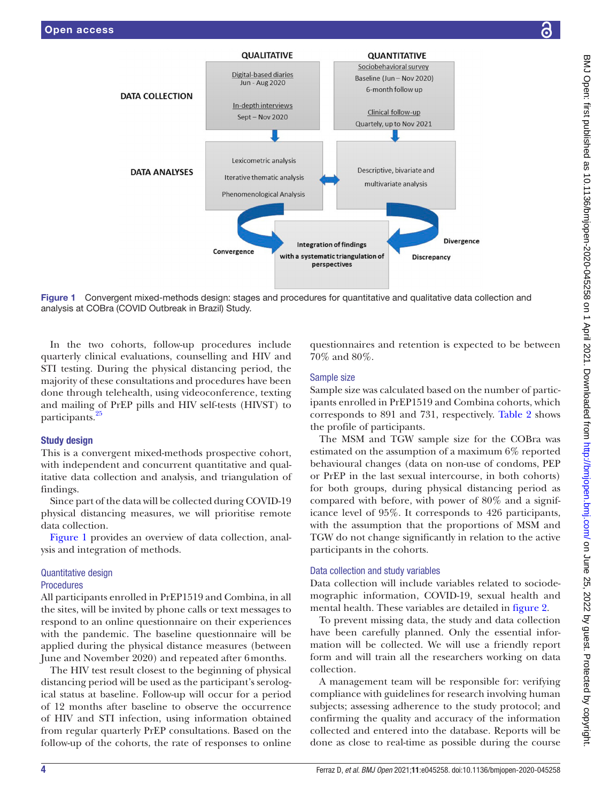

Figure 1 Convergent mixed-methods design: stages and procedures for quantitative and qualitative data collection and analysis at COBra (COVID Outbreak in Brazil) Study.

In the two cohorts, follow-up procedures include quarterly clinical evaluations, counselling and HIV and STI testing. During the physical distancing period, the majority of these consultations and procedures have been done through telehealth, using videoconference, texting and mailing of PrEP pills and HIV self-tests (HIVST) to participants.<sup>2</sup>

### Study design

This is a convergent mixed-methods prospective cohort, with independent and concurrent quantitative and qualitative data collection and analysis, and triangulation of findings.

Since part of the data will be collected during COVID-19 physical distancing measures, we will prioritise remote data collection.

[Figure](#page-3-0) 1 provides an overview of data collection, analysis and integration of methods.

### Quantitative design

### Procedures

All participants enrolled in PrEP1519 and Combina, in all the sites, will be invited by phone calls or text messages to respond to an online questionnaire on their experiences with the pandemic. The baseline questionnaire will be applied during the physical distance measures (between June and November 2020) and repeated after 6months.

The HIV test result closest to the beginning of physical distancing period will be used as the participant's serological status at baseline. Follow-up will occur for a period of 12 months after baseline to observe the occurrence of HIV and STI infection, using information obtained from regular quarterly PrEP consultations. Based on the follow-up of the cohorts, the rate of responses to online

<span id="page-3-0"></span>questionnaires and retention is expected to be between 70% and 80%.

### Sample size

Sample size was calculated based on the number of participants enrolled in PrEP1519 and Combina cohorts, which corresponds to 891 and 731, respectively. [Table](#page-4-0) 2 shows the profile of participants.

The MSM and TGW sample size for the COBra was estimated on the assumption of a maximum 6% reported behavioural changes (data on non-use of condoms, PEP or PrEP in the last sexual intercourse, in both cohorts) for both groups, during physical distancing period as compared with before, with power of 80% and a significance level of 95%. It corresponds to 426 participants, with the assumption that the proportions of MSM and TGW do not change significantly in relation to the active participants in the cohorts.

### Data collection and study variables

Data collection will include variables related to sociodemographic information, COVID-19, sexual health and mental health. These variables are detailed in [figure](#page-5-0) 2.

To prevent missing data, the study and data collection have been carefully planned. Only the essential information will be collected. We will use a friendly report form and will train all the researchers working on data collection.

A management team will be responsible for: verifying compliance with guidelines for research involving human subjects; assessing adherence to the study protocol; and confirming the quality and accuracy of the information collected and entered into the database. Reports will be done as close to real-time as possible during the course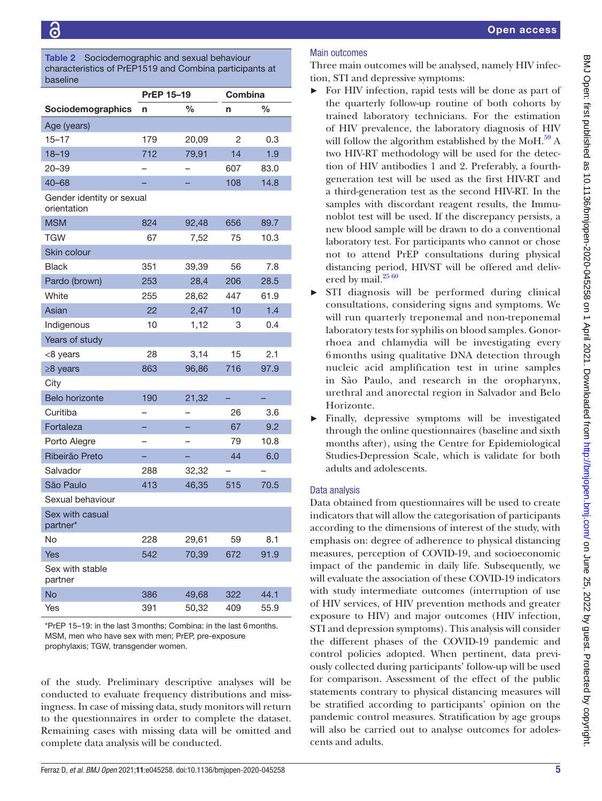### <span id="page-4-0"></span>Table 2 Sociodemographic and sexual behaviour characteristics of PrEP1519 and Combina participants at baseline

|                                          | <b>PrEP 15-19</b> |       |     | Combina       |  |
|------------------------------------------|-------------------|-------|-----|---------------|--|
| Sociodemographics                        | n                 | %     | n   | $\frac{0}{0}$ |  |
| Age (years)                              |                   |       |     |               |  |
| $15 - 17$                                | 179               | 20,09 | 2   | 0.3           |  |
| $18 - 19$                                | 712               | 79,91 | 14  | 1.9           |  |
| $20 - 39$                                |                   |       | 607 | 83.0          |  |
| $40 - 68$                                |                   |       | 108 | 14.8          |  |
| Gender identity or sexual<br>orientation |                   |       |     |               |  |
| <b>MSM</b>                               | 824               | 92,48 | 656 | 89.7          |  |
| <b>TGW</b>                               | 67                | 7,52  | 75  | 10.3          |  |
| Skin colour                              |                   |       |     |               |  |
| Black                                    | 351               | 39,39 | 56  | 7.8           |  |
| Pardo (brown)                            | 253               | 28,4  | 206 | 28.5          |  |
| White                                    | 255               | 28,62 | 447 | 61.9          |  |
| Asian                                    | 22                | 2,47  | 10  | 1.4           |  |
| Indigenous                               | 10                | 1,12  | 3   | 0.4           |  |
| Years of study                           |                   |       |     |               |  |
| <8 years                                 | 28                | 3,14  | 15  | 2.1           |  |
| ≥8 years                                 | 863               | 96,86 | 716 | 97.9          |  |
| City                                     |                   |       |     |               |  |
| <b>Belo horizonte</b>                    | 190               | 21,32 |     |               |  |
| Curitiba                                 |                   |       | 26  | 3.6           |  |
| Fortaleza                                |                   |       | 67  | 9.2           |  |
| Porto Alegre                             |                   |       | 79  | 10.8          |  |
| Ribeirão Preto                           |                   |       | 44  | 6.0           |  |
| Salvador                                 | 288               | 32,32 |     |               |  |
| São Paulo                                | 413               | 46,35 | 515 | 70.5          |  |
| Sexual behaviour                         |                   |       |     |               |  |
| Sex with casual<br>partner*              |                   |       |     |               |  |
| No                                       | 228               | 29,61 | 59  | 8.1           |  |
| Yes                                      | 542               | 70,39 | 672 | 91.9          |  |
| Sex with stable<br>partner               |                   |       |     |               |  |
| <b>No</b>                                | 386               | 49,68 | 322 | 44.1          |  |
| Yes                                      | 391               | 50,32 | 409 | 55.9          |  |

\*PrEP 15–19: in the last 3months; Combina: in the last 6months. MSM, men who have sex with men; PrEP, pre-exposure prophylaxis; TGW, transgender women.

of the study. Preliminary descriptive analyses will be conducted to evaluate frequency distributions and missingness. In case of missing data, study monitors will return to the questionnaires in order to complete the dataset. Remaining cases with missing data will be omitted and complete data analysis will be conducted.

### Open access

Three main outcomes will be analysed, namely HIV infection, STI and depressive symptoms:

- ► For HIV infection, rapid tests will be done as part of the quarterly follow-up routine of both cohorts by trained laboratory technicians. For the estimation of HIV prevalence, the laboratory diagnosis of HIV will follow the algorithm established by the MoH. $^{59}$  A two HIV-RT methodology will be used for the detection of HIV antibodies 1 and 2. Preferably, a fourthgeneration test will be used as the first HIV-RT and a third-generation test as the second HIV-RT. In the samples with discordant reagent results, the Immunoblot test will be used. If the discrepancy persists, a new blood sample will be drawn to do a conventional laboratory test. For participants who cannot or chose not to attend PrEP consultations during physical distancing period, HIVST will be offered and deliv-ered by mail.<sup>[25 60](#page-8-18)</sup>
- ► STI diagnosis will be performed during clinical consultations, considering signs and symptoms. We will run quarterly treponemal and non-treponemal laboratory tests for syphilis on blood samples. Gonorrhoea and chlamydia will be investigating every 6 months using qualitative DNA detection through nucleic acid amplification test in urine samples in São Paulo, and research in the oropharynx, urethral and anorectal region in Salvador and Belo Horizonte.
- Finally, depressive symptoms will be investigated through the online questionnaires (baseline and sixth months after), using the Centre for Epidemiological Studies-Depression Scale, which is validate for both adults and adolescents.

### Data analysis

Data obtained from questionnaires will be used to create indicators that will allow the categorisation of participants according to the dimensions of interest of the study, with emphasis on: degree of adherence to physical distancing measures, perception of COVID-19, and socioeconomic impact of the pandemic in daily life. Subsequently, we will evaluate the association of these COVID-19 indicators with study intermediate outcomes (interruption of use of HIV services, of HIV prevention methods and greater exposure to HIV) and major outcomes (HIV infection, STI and depression symptoms). This analysis will consider the different phases of the COVID-19 pandemic and control policies adopted. When pertinent, data previously collected during participants' follow-up will be used for comparison. Assessment of the effect of the public statements contrary to physical distancing measures will be stratified according to participants' opinion on the pandemic control measures. Stratification by age groups will also be carried out to analyse outcomes for adolescents and adults.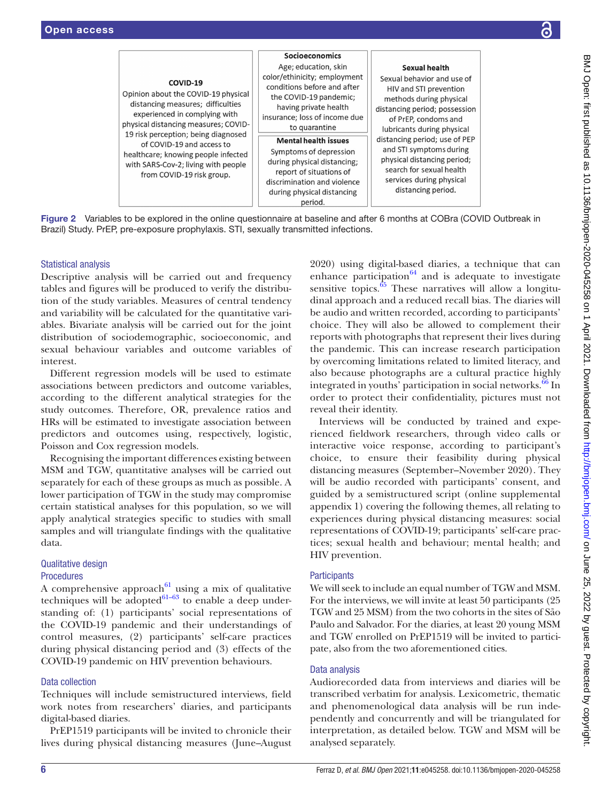|                                                                                                                                                                                                                                                                                                                                              | <b>Socioeconomics</b>                                                                                                                                                                                                                                                                                                                                                               |                                                                                                                                                                                                                                                                                                                                                                  |
|----------------------------------------------------------------------------------------------------------------------------------------------------------------------------------------------------------------------------------------------------------------------------------------------------------------------------------------------|-------------------------------------------------------------------------------------------------------------------------------------------------------------------------------------------------------------------------------------------------------------------------------------------------------------------------------------------------------------------------------------|------------------------------------------------------------------------------------------------------------------------------------------------------------------------------------------------------------------------------------------------------------------------------------------------------------------------------------------------------------------|
| COVID-19<br>Opinion about the COVID-19 physical<br>distancing measures; difficulties<br>experienced in complying with<br>physical distancing measures; COVID-<br>19 risk perception; being diagnosed<br>of COVID-19 and access to<br>healthcare; knowing people infected<br>with SARS-Cov-2; living with people<br>from COVID-19 risk group. | Age; education, skin<br>color/ethinicity; employment<br>conditions before and after<br>the COVID-19 pandemic;<br>having private health<br>insurance; loss of income due<br>to quarantine<br><b>Mental health issues</b><br>Symptoms of depression<br>during physical distancing;<br>report of situations of<br>discrimination and violence<br>during physical distancing<br>period. | Sexual health<br>Sexual behavior and use of<br>HIV and STI prevention<br>methods during physical<br>distancing period; possession<br>of PrEP, condoms and<br>lubricants during physical<br>distancing period; use of PEP<br>and STI symptoms during<br>physical distancing period;<br>search for sexual health<br>services during physical<br>distancing period. |

Figure 2 Variables to be explored in the online questionnaire at baseline and after 6 months at COBra (COVID Outbreak in Brazil) Study. PrEP, pre-exposure prophylaxis. STI, sexually transmitted infections.

### Statistical analysis

Descriptive analysis will be carried out and frequency tables and figures will be produced to verify the distribution of the study variables. Measures of central tendency and variability will be calculated for the quantitative variables. Bivariate analysis will be carried out for the joint distribution of sociodemographic, socioeconomic, and sexual behaviour variables and outcome variables of interest.

Different regression models will be used to estimate associations between predictors and outcome variables, according to the different analytical strategies for the study outcomes. Therefore, OR, prevalence ratios and HRs will be estimated to investigate association between predictors and outcomes using, respectively, logistic, Poisson and Cox regression models.

Recognising the important differences existing between MSM and TGW, quantitative analyses will be carried out separately for each of these groups as much as possible. A lower participation of TGW in the study may compromise certain statistical analyses for this population, so we will apply analytical strategies specific to studies with small samples and will triangulate findings with the qualitative data.

### Qualitative design **Procedures**

A comprehensive approach<sup> $61$ </sup> using a mix of qualitative techniques will be adopted $61-63$  to enable a deep understanding of: (1) participants' social representations of the COVID-19 pandemic and their understandings of control measures, (2) participants' self-care practices during physical distancing period and (3) effects of the COVID-19 pandemic on HIV prevention behaviours.

### Data collection

Techniques will include semistructured interviews, field work notes from researchers' diaries, and participants digital-based diaries.

PrEP1519 participants will be invited to chronicle their lives during physical distancing measures (June–August <span id="page-5-0"></span>2020) using digital-based diaries, a technique that can enhance participation $^{64}$  and is adequate to investigate sensitive topics. $65$  These narratives will allow a longitudinal approach and a reduced recall bias. The diaries will be audio and written recorded, according to participants' choice. They will also be allowed to complement their reports with photographs that represent their lives during the pandemic. This can increase research participation by overcoming limitations related to limited literacy, and also because photographs are a cultural practice highly integrated in youths' participation in social networks.<sup>66</sup> In order to protect their confidentiality, pictures must not reveal their identity.

Interviews will be conducted by trained and experienced fieldwork researchers, through video calls or interactive voice response, according to participant's choice, to ensure their feasibility during physical distancing measures (September–November 2020). They will be audio recorded with participants' consent, and guided by a semistructured script ([online supplemental](https://dx.doi.org/10.1136/bmjopen-2020-045258)  [appendix 1\)](https://dx.doi.org/10.1136/bmjopen-2020-045258) covering the following themes, all relating to experiences during physical distancing measures: social representations of COVID-19; participants' self-care practices; sexual health and behaviour; mental health; and HIV prevention.

### **Participants**

We will seek to include an equal number of TGW and MSM. For the interviews, we will invite at least 50 participants (25 TGW and 25 MSM) from the two cohorts in the sites of São Paulo and Salvador. For the diaries, at least 20 young MSM and TGW enrolled on PrEP1519 will be invited to participate, also from the two aforementioned cities.

### Data analysis

Audiorecorded data from interviews and diaries will be transcribed verbatim for analysis. Lexicometric, thematic and phenomenological data analysis will be run independently and concurrently and will be triangulated for interpretation, as detailed below. TGW and MSM will be analysed separately.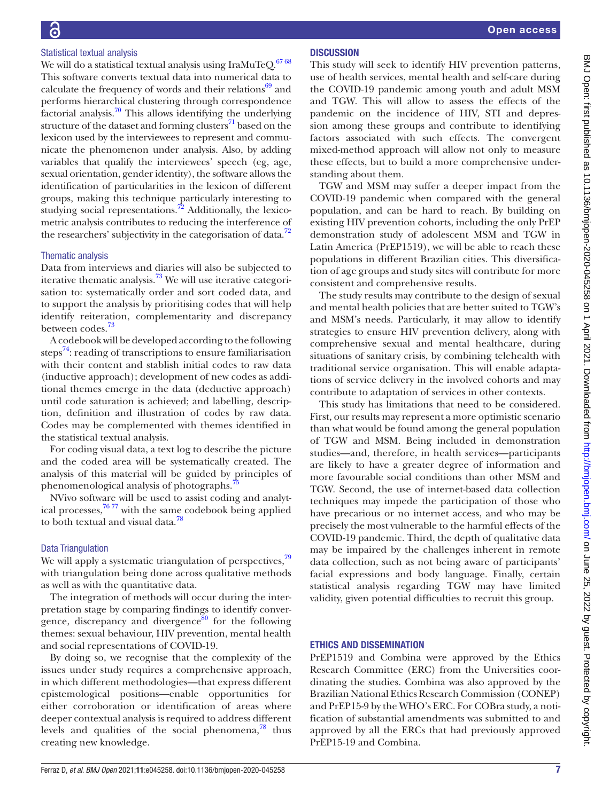# Statistical textual analysis

We will do a statistical textual analysis using IraMuTeQ. $6768$ This software converts textual data into numerical data to calculate the frequency of words and their relations $69$  and performs hierarchical clustering through correspondence factorial analysis[.70](#page-9-5) This allows identifying the underlying structure of the dataset and forming clusters<sup>71</sup> based on the lexicon used by the interviewees to represent and communicate the phenomenon under analysis. Also, by adding variables that qualify the interviewees' speech (eg, age, sexual orientation, gender identity), the software allows the identification of particularities in the lexicon of different groups, making this technique particularly interesting to studying social representations.<sup>[72](#page-9-7)</sup> Additionally, the lexicometric analysis contributes to reducing the interference of the researchers' subjectivity in the categorisation of data. $72$ 

## Thematic analysis

Data from interviews and diaries will also be subjected to iterative thematic analysis.<sup>73</sup> We will use iterative categorisation to: systematically order and sort coded data, and to support the analysis by prioritising codes that will help identify reiteration, complementarity and discrepancy between codes.<sup>73</sup>

A codebook will be developed according to the following steps $^{74}$ : reading of transcriptions to ensure familiarisation with their content and stablish initial codes to raw data (inductive approach); development of new codes as additional themes emerge in the data (deductive approach) until code saturation is achieved; and labelling, description, definition and illustration of codes by raw data. Codes may be complemented with themes identified in the statistical textual analysis.

For coding visual data, a text log to describe the picture and the coded area will be systematically created. The analysis of this material will be guided by principles of phenomenological analysis of photographs.<sup>4</sup>

NVivo software will be used to assist coding and analytical processes, $7677$  with the same codebook being applied to both textual and visual data.<sup>78</sup>

# Data Triangulation

We will apply a systematic triangulation of perspectives,<sup>79</sup> with triangulation being done across qualitative methods as well as with the quantitative data.

The integration of methods will occur during the interpretation stage by comparing findings to identify convergence, discrepancy and divergence<sup>80</sup> for the following themes: sexual behaviour, HIV prevention, mental health and social representations of COVID-19.

By doing so, we recognise that the complexity of the issues under study requires a comprehensive approach, in which different methodologies—that express different epistemological positions—enable opportunities for either corroboration or identification of areas where deeper contextual analysis is required to address different levels and qualities of the social phenomena, $^{78}$  thus creating new knowledge.

# **DISCUSSION**

This study will seek to identify HIV prevention patterns, use of health services, mental health and self-care during the COVID-19 pandemic among youth and adult MSM and TGW. This will allow to assess the effects of the pandemic on the incidence of HIV, STI and depression among these groups and contribute to identifying factors associated with such effects. The convergent mixed-method approach will allow not only to measure these effects, but to build a more comprehensive understanding about them.

TGW and MSM may suffer a deeper impact from the COVID-19 pandemic when compared with the general population, and can be hard to reach. By building on existing HIV prevention cohorts, including the only PrEP demonstration study of adolescent MSM and TGW in Latin America (PrEP1519), we will be able to reach these populations in different Brazilian cities. This diversification of age groups and study sites will contribute for more consistent and comprehensive results.

The study results may contribute to the design of sexual and mental health policies that are better suited to TGW's and MSM's needs. Particularly, it may allow to identify strategies to ensure HIV prevention delivery, along with comprehensive sexual and mental healthcare, during situations of sanitary crisis, by combining telehealth with traditional service organisation. This will enable adaptations of service delivery in the involved cohorts and may contribute to adaptation of services in other contexts.

This study has limitations that need to be considered. First, our results may represent a more optimistic scenario than what would be found among the general population of TGW and MSM. Being included in demonstration studies—and, therefore, in health services—participants are likely to have a greater degree of information and more favourable social conditions than other MSM and TGW. Second, the use of internet-based data collection techniques may impede the participation of those who have precarious or no internet access, and who may be precisely the most vulnerable to the harmful effects of the COVID-19 pandemic. Third, the depth of qualitative data may be impaired by the challenges inherent in remote data collection, such as not being aware of participants' facial expressions and body language. Finally, certain statistical analysis regarding TGW may have limited validity, given potential difficulties to recruit this group.

# ETHICS AND DISSEMINATION

PrEP1519 and Combina were approved by the Ethics Research Committee (ERC) from the Universities coordinating the studies. Combina was also approved by the Brazilian National Ethics Research Commission (CONEP) and PrEP15-9 by the WHO's ERC. For COBra study, a notification of substantial amendments was submitted to and approved by all the ERCs that had previously approved PrEP15-19 and Combina.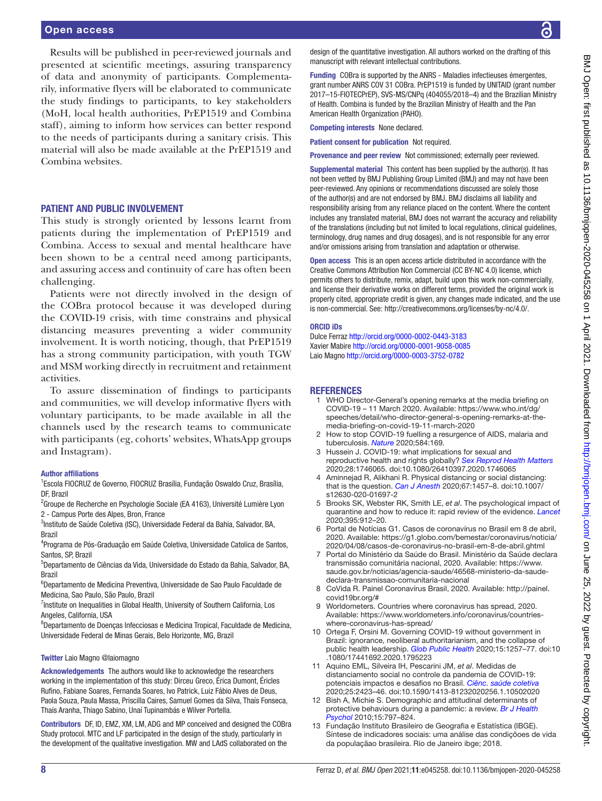### Open access

Results will be published in peer-reviewed journals and presented at scientific meetings, assuring transparency of data and anonymity of participants. Complementarily, informative flyers will be elaborated to communicate the study findings to participants, to key stakeholders (MoH, local health authorities, PrEP1519 and Combina staff), aiming to inform how services can better respond to the needs of participants during a sanitary crisis. This material will also be made available at the PrEP1519 and Combina websites.

### PATIENT AND PUBLIC INVOLVEMENT

This study is strongly oriented by lessons learnt from patients during the implementation of PrEP1519 and Combina. Access to sexual and mental healthcare have been shown to be a central need among participants, and assuring access and continuity of care has often been challenging.

Patients were not directly involved in the design of the COBra protocol because it was developed during the COVID-19 crisis, with time constrains and physical distancing measures preventing a wider community involvement. It is worth noticing, though, that PrEP1519 has a strong community participation, with youth TGW and MSM working directly in recruitment and retainment activities.

To assure dissemination of findings to participants and communities, we will develop informative flyers with voluntary participants, to be made available in all the channels used by the research teams to communicate with participants (eg, cohorts' websites, WhatsApp groups and Instagram).

### Author affiliations

1 Escola FIOCRUZ de Governo, FIOCRUZ Brasília, Fundação Oswaldo Cruz, Brasília, DF, Brazil

<sup>2</sup> Groupe de Recherche en Psychologie Sociale (EA 4163), Université Lumière Lyon 2 - Campus Porte des Alpes, Bron, France

<sup>3</sup>Instituto de Saúde Coletiva (ISC), Universidade Federal da Bahia, Salvador, BA, Brazil

<sup>4</sup>Programa de Pós-Graduação em Saúde Coletiva, Universidade Catolica de Santos, Santos, SP, Brazil

5 Departamento de Ciências da Vida, Universidade do Estado da Bahia, Salvador, BA, Brazil

6 Departamento de Medicina Preventiva, Universidade de Sao Paulo Faculdade de Medicina, Sao Paulo, São Paulo, Brazil

<sup>7</sup>Institute on Inequalities in Global Health, University of Southern California, Los Angeles, California, USA

<sup>8</sup>Departamento de Doenças Infecciosas e Medicina Tropical, Faculdade de Medicina, Universidade Federal de Minas Gerais, Belo Horizonte, MG, Brazil

### Twitter Laio Magno [@laiomagno](https://twitter.com/laiomagno)

Acknowledgements The authors would like to acknowledge the researchers working in the implementation of this study: Dirceu Greco, Érica Dumont, Éricles Rufino, Fabiane Soares, Fernanda Soares, Ivo Patrick, Luiz Fábio Alves de Deus, Paola Souza, Paula Massa, Priscilla Caires, Samuel Gomes da Silva, Thaís Fonseca, Thaís Aranha, Thiago Sabino, Unaí Tupinambás e Wilver Portella.

Contributors DF, ID, EMZ, XM, LM, ADG and MP conceived and designed the COBra Study protocol. MTC and LF participated in the design of the study, particularly in the development of the qualitative investigation. MW and LAdS collaborated on the

design of the quantitative investigation. All authors worked on the drafting of this manuscript with relevant intellectual contributions.

Funding COBra is supported by the ANRS - Maladies infectieuses émergentes, grant number ANRS COV 31 COBra. PrEP1519 is funded by UNITAID (grant number 2017–15-FIOTECPrEP), SVS-MS/CNPq (404055/2018–4) and the Brazilian Ministry of Health. Combina is funded by the Brazilian Ministry of Health and the Pan American Health Organization (PAHO).

Competing interests None declared.

Patient consent for publication Not required.

Provenance and peer review Not commissioned; externally peer reviewed.

Supplemental material This content has been supplied by the author(s). It has not been vetted by BMJ Publishing Group Limited (BMJ) and may not have been peer-reviewed. Any opinions or recommendations discussed are solely those of the author(s) and are not endorsed by BMJ. BMJ disclaims all liability and responsibility arising from any reliance placed on the content. Where the content includes any translated material, BMJ does not warrant the accuracy and reliability of the translations (including but not limited to local regulations, clinical guidelines, terminology, drug names and drug dosages), and is not responsible for any error and/or omissions arising from translation and adaptation or otherwise.

Open access This is an open access article distributed in accordance with the Creative Commons Attribution Non Commercial (CC BY-NC 4.0) license, which permits others to distribute, remix, adapt, build upon this work non-commercially, and license their derivative works on different terms, provided the original work is properly cited, appropriate credit is given, any changes made indicated, and the use is non-commercial. See: [http://creativecommons.org/licenses/by-nc/4.0/.](http://creativecommons.org/licenses/by-nc/4.0/)

### ORCID iDs

Dulce Ferraz <http://orcid.org/0000-0002-0443-3183> Xavier Mabire<http://orcid.org/0000-0001-9058-0085> Laio Magno<http://orcid.org/0000-0003-3752-0782>

### **REFERENCES**

- <span id="page-7-0"></span>1 WHO Director-General's opening remarks at the media briefing on COVID-19 – 11 March 2020. Available: [https://www.who.int/dg/](https://www.who.int/dg/speeches/detail/who-director-general-s-opening-remarks-at-the-media-briefing-on-covid-19-11-march-2020) [speeches/detail/who-director-general-s-opening-remarks-at-the](https://www.who.int/dg/speeches/detail/who-director-general-s-opening-remarks-at-the-media-briefing-on-covid-19-11-march-2020)[media-briefing-on-covid-19-11-march-2020](https://www.who.int/dg/speeches/detail/who-director-general-s-opening-remarks-at-the-media-briefing-on-covid-19-11-march-2020)
- <span id="page-7-1"></span>2 How to stop COVID-19 fuelling a resurgence of AIDS, malaria and tuberculosis. *[Nature](http://dx.doi.org/10.1038/d41586-020-02334-0)* 2020;584:169.
- <span id="page-7-2"></span>3 Hussein J. COVID-19: what implications for sexual and reproductive health and rights globally? *[Sex Reprod Health Matters](http://dx.doi.org/10.1080/26410397.2020.1746065)* 2020;28:1746065. doi:10.1080/26410397.2020.1746065
- <span id="page-7-3"></span>Aminnejad R, Alikhani R. Physical distancing or social distancing: that is the question. *[Can J Anesth](http://dx.doi.org/10.1007/s12630-020-01697-2)* 2020;67:1457–8. doi:10.1007/ s12630-020-01697-2
- <span id="page-7-4"></span>5 Brooks SK, Webster RK, Smith LE, *et al*. The psychological impact of quarantine and how to reduce it: rapid review of the evidence. *[Lancet](http://dx.doi.org/10.1016/S0140-6736(20)30460-8)* 2020;395:912–20.
- <span id="page-7-5"></span>6 Portal de Notícias G1. Casos de coronavírus no Brasil em 8 de abril, 2020. Available: [https://g1.globo.com/bemestar/coronavirus/noticia/](https://g1.globo.com/bemestar/coronavirus/noticia/2020/04/08/casos-de-coronavirus-no-brasil-em-8-de-abril.ghtml) [2020/04/08/casos-de-coronavirus-no-brasil-em-8-de-abril.ghtml](https://g1.globo.com/bemestar/coronavirus/noticia/2020/04/08/casos-de-coronavirus-no-brasil-em-8-de-abril.ghtml)
- <span id="page-7-6"></span>7 Portal do Ministério da Saúde do Brasil. Ministério da Saúde declara transmissão comunitária nacional, 2020. Available: [https://www.](https://www.saude.gov.br/noticias/agencia-saude/46568-ministerio-da-saude-declara-transmissao-comunitaria-nacional) [saude.gov.br/noticias/agencia-saude/46568-ministerio-da-saude](https://www.saude.gov.br/noticias/agencia-saude/46568-ministerio-da-saude-declara-transmissao-comunitaria-nacional)[declara-transmissao-comunitaria-nacional](https://www.saude.gov.br/noticias/agencia-saude/46568-ministerio-da-saude-declara-transmissao-comunitaria-nacional)
- <span id="page-7-7"></span>8 CoVida R. Painel Coronavírus Brasil, 2020. Available: [http://painel.](http://painel.covid19br.org/#) [covid19br.org/#](http://painel.covid19br.org/#)
- <span id="page-7-8"></span>Worldometers. Countries where coronavirus has spread, 2020. Available: [https://www.worldometers.info/coronavirus/countries](https://www.worldometers.info/coronavirus/countries-where-coronavirus-has-spread/)[where-coronavirus-has-spread/](https://www.worldometers.info/coronavirus/countries-where-coronavirus-has-spread/)
- <span id="page-7-9"></span>10 Ortega F, Orsini M. Governing COVID-19 without government in Brazil: ignorance, neoliberal authoritarianism, and the collapse of public health leadership. *[Glob Public Health](http://dx.doi.org/10.1080/17441692.2020.1795223)* 2020;15:1257–77. doi:10 .1080/17441692.2020.1795223
- <span id="page-7-11"></span>11 Aquino EML, Silveira IH, Pescarini JM, *et al*. Medidas de distanciamento social no controle da pandemia de COVID-19: potenciais impactos e desafios no Brasil. *[Ciênc. saúde coletiva](http://dx.doi.org/10.1590/1413-81232020256.1.10502020)* 2020;25:2423–46. doi:10.1590/1413-81232020256.1.10502020
- <span id="page-7-10"></span>12 Bish A, Michie S. Demographic and attitudinal determinants of protective behaviours during a pandemic: a review. *[Br J Health](http://dx.doi.org/10.1348/135910710X485826)  [Psychol](http://dx.doi.org/10.1348/135910710X485826)* 2010;15:797–824.
- <span id="page-7-12"></span>13 Fundação Instituto Brasileiro de Geografia e Estatística (IBGE). Síntese de indicadores sociais: uma análise das condiçõoes de vida da populaçãao brasileira. Rio de Janeiro ibge; 2018.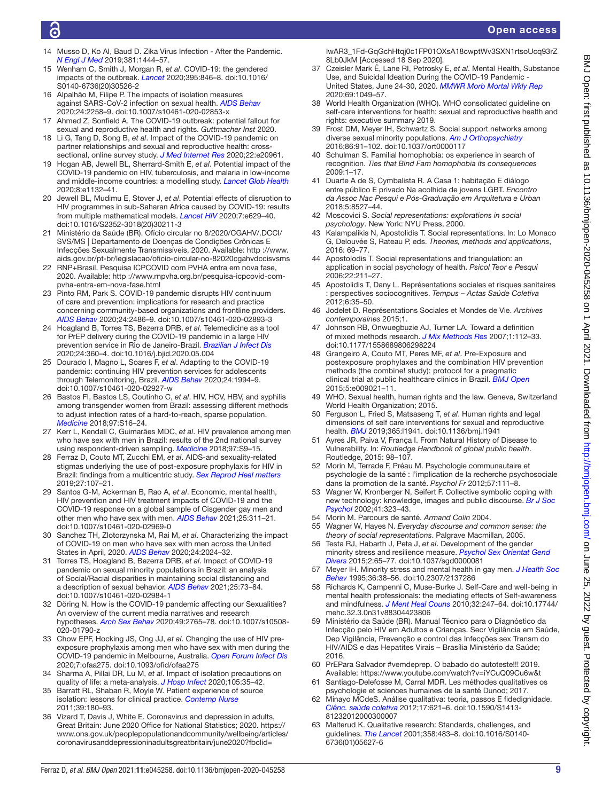- <span id="page-8-0"></span>14 Musso D, Ko AI, Baud D. Zika Virus Infection - After the Pandemic. *[N Engl J Med](http://dx.doi.org/10.1056/NEJMra1808246)* 2019;381:1444–57.
- 15 Wenham C, Smith J, Morgan R, *et al*. COVID-19: the gendered impacts of the outbreak. *[Lancet](http://dx.doi.org/10.1016/S0140-6736(20)30526-2)* 2020;395:846–8. doi:10.1016/ S0140-6736(20)30526-2
- 16 Alpalhão M, Filipe P. The impacts of isolation measures against SARS-CoV-2 infection on sexual health. *[AIDS Behav](http://dx.doi.org/10.1007/s10461-020-02853-x)* 2020;24:2258–9. doi:10.1007/s10461-020-02853-x
- 17 Ahmed Z, Sonfield A. The COVID-19 outbreak: potential fallout for sexual and reproductive health and rights. *Guttmacher Inst* 2020.
- <span id="page-8-9"></span>18 Li G, Tang D, Song B, *et al*. Impact of the COVID-19 pandemic on partner relationships and sexual and reproductive health: crosssectional, online survey study. *[J Med Internet Res](http://dx.doi.org/10.2196/20961)* 2020;22:e20961.
- 19 Hogan AB, Jewell BL, Sherrard-Smith E, *et al*. Potential impact of the COVID-19 pandemic on HIV, tuberculosis, and malaria in low-income and middle-income countries: a modelling study. *[Lancet Glob Health](http://dx.doi.org/10.1016/S2214-109X(20)30288-6)* 2020;8:e1132–41.
- 20 Jewell BL, Mudimu E, Stover J, *et al*. Potential effects of disruption to HIV programmes in sub-Saharan Africa caused by COVID-19: results from multiple mathematical models. *[Lancet HIV](http://dx.doi.org/10.1016/S2352-3018(20)30211-3)* 2020;7:e629–40. doi:10.1016/S2352-3018(20)30211-3
- <span id="page-8-1"></span>21 Ministério da Saúde (BR). Ofício circular no 8/2020/CGAHV/.DCCI/ SVS/MS | Departamento de Doenças de Condições Crônicas E Infecções Sexualmente Transmissíveis, 2020. Available: [http ://www.](http%20://www.aids.gov.br/pt-br/legislacao/oficio-circular-no-82020cgahvdccisvsms) [aids.gov.br/pt-br/legislacao/oficio-circular-no-82020cgahvdccisvsms](http%20://www.aids.gov.br/pt-br/legislacao/oficio-circular-no-82020cgahvdccisvsms)
- <span id="page-8-2"></span>22 RNP+Brasil. Pesquisa ICPCOVID com PVHA entra em nova fase, 2020. Available: [http ://www.rnpvha.org.br/pesquisa-icpcovid-com](http%20://www.rnpvha.org.br/pesquisa-icpcovid-com-pvha-entra-em-nova-fase.html)[pvha-entra-em-nova-fase.html](http%20://www.rnpvha.org.br/pesquisa-icpcovid-com-pvha-entra-em-nova-fase.html)
- 23 Pinto RM, Park S. COVID-19 pandemic disrupts HIV continuum of care and prevention: implications for research and practice concerning community-based organizations and frontline providers. *[AIDS Behav](http://dx.doi.org/10.1007/s10461-020-02893-3)* 2020;24:2486–9. doi:10.1007/s10461-020-02893-3
- <span id="page-8-3"></span>24 Hoagland B, Torres TS, Bezerra DRB, *et al*. Telemedicine as a tool for PrEP delivery during the COVID-19 pandemic in a large HIV prevention service in Rio de Janeiro-Brazil. *[Brazilian J Infect Dis](http://dx.doi.org/10.1016/j.bjid.2020.05.004)* 2020;24:360–4. doi:10.1016/j.bjid.2020.05.004
- <span id="page-8-18"></span>25 Dourado I, Magno L, Soares F, *et al*. Adapting to the COVID-19 pandemic: continuing HIV prevention services for adolescents through Telemonitoring, Brazil. *[AIDS Behav](http://dx.doi.org/10.1007/s10461-020-02927-w)* 2020;24:1994–9. doi:10.1007/s10461-020-02927-w
- <span id="page-8-4"></span>26 Bastos FI, Bastos LS, Coutinho C, *et al*. HIV, HCV, HBV, and syphilis among transgender women from Brazil: assessing different methods to adjust infection rates of a hard-to-reach, sparse population. *[Medicine](http://dx.doi.org/10.1097/MD.0000000000009447)* 2018;97:S16–24.
- <span id="page-8-20"></span>27 Kerr L, Kendall C, Guimarães MDC, *et al*. HIV prevalence among men who have sex with men in Brazil: results of the 2nd national survey using respondent-driven sampling. *[Medicine](http://dx.doi.org/10.1097/MD.0000000000010573)* 2018;97:S9–15.
- <span id="page-8-5"></span>28 Ferraz D, Couto MT, Zucchi EM, *et al*. AIDS-and sexuality-related stigmas underlying the use of post-exposure prophylaxis for HIV in Brazil: findings from a multicentric study. *[Sex Reprod Heal matters](http://dx.doi.org/10.1080/26410397.2019.1650587)* 2019;27:107–21.
- <span id="page-8-6"></span>29 Santos G-M, Ackerman B, Rao A, *et al*. Economic, mental health, HIV prevention and HIV treatment impacts of COVID-19 and the COVID-19 response on a global sample of Cisgender gay men and other men who have sex with men. *[AIDS Behav](http://dx.doi.org/10.1007/s10461-020-02969-0)* 2021;25:311–21. doi:10.1007/s10461-020-02969-0
- <span id="page-8-7"></span>30 Sanchez TH, Zlotorzynska M, Rai M, *et al*. Characterizing the impact of COVID-19 on men who have sex with men across the United States in April, 2020. *[AIDS Behav](http://dx.doi.org/10.1007/s10461-020-02894-2)* 2020;24:2024–32.
- <span id="page-8-8"></span>31 Torres TS, Hoagland B, Bezerra DRB, *et al*. Impact of COVID-19 pandemic on sexual minority populations in Brazil: an analysis of Social/Racial disparities in maintaining social distancing and a description of sexual behavior. *[AIDS Behav](http://dx.doi.org/10.1007/s10461-020-02984-1)* 2021;25:73–84. doi:10.1007/s10461-020-02984-1
- 32 Döring N. How is the COVID-19 pandemic affecting our Sexualities? An overview of the current media narratives and research hypotheses. *[Arch Sex Behav](http://dx.doi.org/10.1007/s10508-020-01790-z)* 2020;49:2765–78. doi:10.1007/s10508- 020-01790-z
- <span id="page-8-10"></span>33 Chow EPF, Hocking JS, Ong JJ, *et al*. Changing the use of HIV preexposure prophylaxis among men who have sex with men during the COVID-19 pandemic in Melbourne, Australia. *[Open Forum Infect Dis](http://dx.doi.org/10.1093/ofid/ofaa275)* 2020;7:ofaa275. doi:10.1093/ofid/ofaa275
- 34 Sharma A, Pillai DR, Lu M, *et al*. Impact of isolation precautions on quality of life: a meta-analysis. *[J Hosp Infect](http://dx.doi.org/10.1016/j.jhin.2020.02.004)* 2020;105:35–42.
- 35 Barratt RL, Shaban R, Moyle W. Patient experience of source isolation: lessons for clinical practice. *[Contemp Nurse](http://dx.doi.org/10.5172/conu.2011.180)* 2011;39:180–93.
- <span id="page-8-11"></span>36 Vizard T, Davis J, White E. Coronavirus and depression in adults, Great Britain: June 2020 Office for National Statistics; 2020. [https://](https://www.ons.gov.uk/peoplepopulationandcommunity/wellbeing/articles/coronavirusanddepressioninadultsgreatbritain/june2020?fbclid=IwAR3_1Fd-GqGchHtqj0c1FP01OXsA18cwptWv3SXN1rtsoUcq93rZ8Lb0JkM) [www.ons.gov.uk/peoplepopulationandcommunity/wellbeing/articles/](https://www.ons.gov.uk/peoplepopulationandcommunity/wellbeing/articles/coronavirusanddepressioninadultsgreatbritain/june2020?fbclid=IwAR3_1Fd-GqGchHtqj0c1FP01OXsA18cwptWv3SXN1rtsoUcq93rZ8Lb0JkM) [coronavirusanddepressioninadultsgreatbritain/june2020?fbclid=](https://www.ons.gov.uk/peoplepopulationandcommunity/wellbeing/articles/coronavirusanddepressioninadultsgreatbritain/june2020?fbclid=IwAR3_1Fd-GqGchHtqj0c1FP01OXsA18cwptWv3SXN1rtsoUcq93rZ8Lb0JkM)

[IwAR3\\_1Fd-GqGchHtqj0c1FP01OXsA18cwptWv3SXN1rtsoUcq93rZ](https://www.ons.gov.uk/peoplepopulationandcommunity/wellbeing/articles/coronavirusanddepressioninadultsgreatbritain/june2020?fbclid=IwAR3_1Fd-GqGchHtqj0c1FP01OXsA18cwptWv3SXN1rtsoUcq93rZ8Lb0JkM) [8Lb0JkM](https://www.ons.gov.uk/peoplepopulationandcommunity/wellbeing/articles/coronavirusanddepressioninadultsgreatbritain/june2020?fbclid=IwAR3_1Fd-GqGchHtqj0c1FP01OXsA18cwptWv3SXN1rtsoUcq93rZ8Lb0JkM) [Accessed 18 Sep 2020].

- <span id="page-8-12"></span>37 Czeisler Mark É, Lane RI, Petrosky E, *et al*. Mental Health, Substance Use, and Suicidal Ideation During the COVID-19 Pandemic - United States, June 24-30, 2020. *[MMWR Morb Mortal Wkly Rep](http://dx.doi.org/10.15585/mmwr.mm6932a1)* 2020;69:1049–57.
- <span id="page-8-13"></span>38 World Health Organization (WHO). WHO consolidated guideline on self-care interventions for health: sexual and reproductive health and rights: executive summary 2019.
- <span id="page-8-14"></span>39 Frost DM, Meyer IH, Schwartz S. Social support networks among diverse sexual minority populations. *[Am J Orthopsychiatry](http://dx.doi.org/10.1037/ort0000117)* 2016;86:91–102. doi:10.1037/ort0000117
- <span id="page-8-15"></span>40 Schulman S. Familial homophobia: os experience in search of recognition. *Ties that Bind Fam homophobia its consequences* 2009:1–17.
- 41 Duarte A de S, Cymbalista R. A Casa 1: habitação E diálogo entre público E privado Na acolhida de jovens LGBT. *Encontro da Assoc Nac Pesqui e Pós-Graduação em Arquitetura e Urban* 2018;5:8527–44.
- <span id="page-8-16"></span>42 Moscovici S. *Social representations: explorations in social psychology*. New York: NYU Press, 2000.
- 43 Kalampalikis N, Apostolidis T. Social representations. In: Lo Monaco G, Delouvée S, Rateau P, eds. *Theories, methods and applications*, 2016: 69–77.
- <span id="page-8-23"></span>44 Apostolodis T. Social representations and triangulation: an application in social psychology of health. *Psicol Teor e Pesqui* 2006;22:211–27.
- 45 Apostolidis T, Dany L. Représentations sociales et risques sanitaires : perspectives sociocognitives. *Tempus – Actas Saúde Coletiva* 2012;6:35–50.
- <span id="page-8-24"></span>46 Jodelet D. Représentations Sociales et Mondes de Vie. *Archives contemporaines* 2015;1.
- <span id="page-8-17"></span>47 Johnson RB, Onwuegbuzie AJ, Turner LA. Toward a definition of mixed methods research. *[J Mix Methods Res](http://dx.doi.org/10.1177/1558689806298224)* 2007;1:112–33. doi:10.1177/1558689806298224
- <span id="page-8-19"></span>48 Grangeiro A, Couto MT, Peres MF, *et al*. Pre-Exposure and postexposure prophylaxes and the combination HIV prevention methods (the combine! study): protocol for a pragmatic clinical trial at public healthcare clinics in Brazil. *[BMJ Open](http://dx.doi.org/10.1136/bmjopen-2015-009021)* 2015;5:e009021–11.
- <span id="page-8-21"></span>49 WHO. Sexual health, human rights and the law. Geneva, Switzerland World Health Organization; 2015.
- 50 Ferguson L, Fried S, Matsaseng T, *et al*. Human rights and legal dimensions of self care interventions for sexual and reproductive health. *[BMJ](http://dx.doi.org/10.1136/bmj.l1941)* 2019;365:l1941. doi:10.1136/bmj.l1941
- <span id="page-8-22"></span>51 Ayres JR, Paiva V, França I. From Natural History of Disease to Vulnerability. In: *Routledge Handbook of global public health*. Routledge, 2015: 98–107.
- 52 Morin M, Terrade F, Préau M. Psychologie communautaire et psychologie de la santé : l'implication de la recherche psychosociale dans la promotion de la santé. *Psychol Fr* 2012;57:111–8.
- <span id="page-8-25"></span>53 Wagner W, Kronberger N, Seifert F. Collective symbolic coping with new technology: knowledge, images and public discourse. *[Br J Soc](http://dx.doi.org/10.1348/014466602760344241)  [Psychol](http://dx.doi.org/10.1348/014466602760344241)* 2002;41:323–43.
- 54 Morin M. Parcours de santé. *Armand Colin* 2004.
- 55 Wagner W, Hayes N. *Everyday discourse and common sense: the theory of social representations*. Palgrave Macmillan, 2005.
- <span id="page-8-26"></span>56 Testa RJ, Habarth J, Peta J, *et al*. Development of the gender minority stress and resilience measure. *[Psychol Sex Orientat Gend](http://dx.doi.org/10.1037/sgd0000081)  [Divers](http://dx.doi.org/10.1037/sgd0000081)* 2015;2:65–77. doi:10.1037/sgd0000081
- 57 Meyer IH. Minority stress and mental health in gay men. *[J Health Soc](http://dx.doi.org/10.2307/2137286)  [Behav](http://dx.doi.org/10.2307/2137286)* 1995;36:38–56. doi:10.2307/2137286
- 58 Richards K, Campenni C, Muse-Burke J. Self-Care and well-being in mental health professionals: the mediating effects of Self-awareness and mindfulness. *[J Ment Heal Couns](http://dx.doi.org/10.17744/mehc.32.3.0n31v88304423806)* 2010;32:247–64. doi:10.17744/ mehc.32.3.0n31v88304423806
- <span id="page-8-27"></span>59 Ministério da Saúde (BR). Manual Técnico para o Diagnóstico da Infecção pelo HIV em Adultos e Crianças. Secr Vigilância em Saúde, Dep Vigilância, Prevenção e control das Infecções sex Transm do HIV/AIDS e das Hepatites Virais – Brasília Ministério da Saúde; 2016.
- 60 PrEPara Salvador #vemdeprep. O babado do autoteste!!! 2019. Available: <https://www.youtube.com/watch?v=iYCuQ09Cu6w&t>
- <span id="page-8-28"></span>61 Santiago-Delefosse M, Carral MDR. Les méthodes qualitatives os psychologie et sciences humaines de la santé Dunod; 2017.
- 62 Minayo MCdeS. Análise qualitativa: teoria, passos E fidedignidade. *[Ciênc. saúde coletiva](http://dx.doi.org/10.1590/S1413-81232012000300007)* 2012;17:621–6. doi:10.1590/S1413- 81232012000300007
- 63 Malterud K. Qualitative research: Standards, challenges, and guidelines. *[The Lancet](http://dx.doi.org/10.1016/S0140-6736(01)05627-6)* 2001;358:483–8. doi:10.1016/S0140- 6736(01)05627-6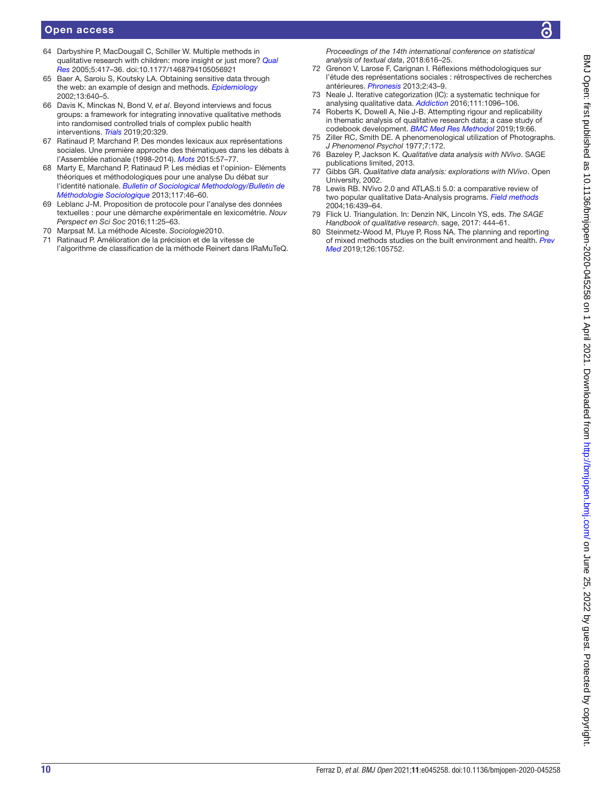### Open access

- <span id="page-9-0"></span>64 Darbyshire P, MacDougall C, Schiller W. Multiple methods in qualitative research with children: more insight or just more? *[Qual](http://dx.doi.org/10.1177/1468794105056921)  [Res](http://dx.doi.org/10.1177/1468794105056921)* 2005;5:417–36. doi:10.1177/1468794105056921
- <span id="page-9-1"></span>65 Baer A, Saroiu S, Koutsky LA. Obtaining sensitive data through the web: an example of design and methods. *[Epidemiology](http://dx.doi.org/10.1097/00001648-200211000-00007)* 2002;13:640–5.
- <span id="page-9-2"></span>66 Davis K, Minckas N, Bond V, *et al*. Beyond interviews and focus groups: a framework for integrating innovative qualitative methods into randomised controlled trials of complex public health interventions. *[Trials](http://dx.doi.org/10.1186/s13063-019-3439-8)* 2019;20:329.
- <span id="page-9-3"></span>67 Ratinaud P, Marchand P. Des mondes lexicaux aux représentations sociales. Une première approche des thématiques dans les débats à l'Assemblée nationale (1998-2014). *[Mots](http://dx.doi.org/10.4000/mots.22006)* 2015:57–77.
- 68 Marty E, Marchand P, Ratinaud P. Les médias et l'opinion- Eléments théoriques et méthodologiques pour une analyse Du débat sur l'identité nationale. *[Bulletin of Sociological Methodology/Bulletin de](http://dx.doi.org/10.1177/0759106312465550)  [Méthodologie Sociologique](http://dx.doi.org/10.1177/0759106312465550)* 2013;117:46–60.
- <span id="page-9-4"></span>69 Leblanc J-M. Proposition de protocole pour l'analyse des données textuelles : pour une démarche expérimentale en lexicométrie. *Nouv Perspect en Sci Soc* 2016;11:25–63.
- <span id="page-9-5"></span>70 Marpsat M. La méthode Alceste. *Sociologie*2010.
- <span id="page-9-6"></span>71 Ratinaud P. Amélioration de la précision et de la vitesse de l'algorithme de classification de la méthode Reinert dans IRaMuTeQ.

*Proceedings of the 14th international conference on statistical analysis of textual data*, 2018:616–25.

- <span id="page-9-7"></span>72 Grenon V, Larose F, Carignan I. Réflexions méthodologiques sur l'étude des représentations sociales : rétrospectives de recherches antérieures. *[Phronesis](http://dx.doi.org/10.7202/1018072ar)* 2013;2:43–9.
- <span id="page-9-8"></span>73 Neale J. Iterative categorization (IC): a systematic technique for analysing qualitative data. *[Addiction](http://dx.doi.org/10.1111/add.13314)* 2016;111:1096–106.
- <span id="page-9-9"></span>74 Roberts K, Dowell A, Nie J-B. Attempting rigour and replicability in thematic analysis of qualitative research data; a case study of codebook development. *[BMC Med Res Methodol](http://dx.doi.org/10.1186/s12874-019-0707-y)* 2019;19:66.
- <span id="page-9-10"></span>75 Ziller RC, Smith DE. A phenomenological utilization of Photographs. *J Phenomenol Psychol* 1977;7:172.
- <span id="page-9-11"></span>76 Bazeley P, Jackson K. *Qualitative data analysis with NVivo*. SAGE publications limited, 2013.
- 77 Gibbs GR. *Qualitative data analysis: explorations with NVivo*. Open University, 2002.
- <span id="page-9-12"></span>78 Lewis RB. NVivo 2.0 and ATLAS.ti 5.0: a comparative review of two popular qualitative Data-Analysis programs. *[Field methods](http://dx.doi.org/10.1177/1525822X04269174)* 2004;16:439–64.
- <span id="page-9-13"></span>79 Flick U. Triangulation. In: Denzin NK, Lincoln YS, eds. *The SAGE Handbook of qualitative research*. sage, 2017: 444–61.
- <span id="page-9-14"></span>80 Steinmetz-Wood M, Pluye P, Ross NA. The planning and reporting of mixed methods studies on the built environment and health. *[Prev](http://dx.doi.org/10.1016/j.ypmed.2019.105752)  [Med](http://dx.doi.org/10.1016/j.ypmed.2019.105752)* 2019;126:105752.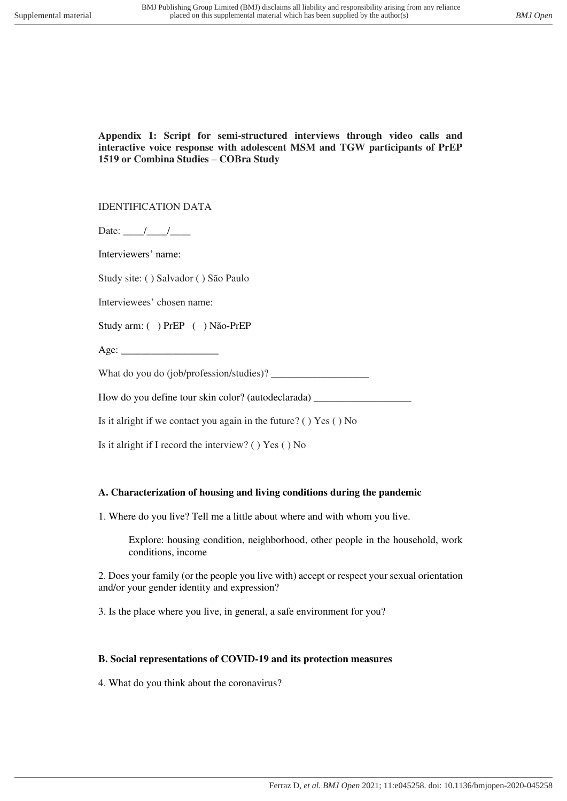### **Appendix 1: Script for semi-structured interviews through video calls and interactive voice response with adolescent MSM and TGW participants of PrEP 1519 or Combina Studies – COBra Study**

### IDENTIFICATION DATA

Date:  $\frac{1}{\sqrt{2\pi}}$ 

Interviewers' name:

Study site: ( ) Salvador ( ) São Paulo

Interviewees' chosen name:

Study arm: ( ) PrEP ( ) Não-PrEP

Age:  $\qquad$ 

What do you do (job/profession/studies)?

How do you define tour skin color? (autodeclarada) \_\_\_\_\_\_\_\_\_\_\_\_\_\_\_\_\_\_\_\_\_\_\_\_\_\_\_\_\_

Is it alright if we contact you again in the future? ( ) Yes ( ) No

Is it alright if I record the interview? ( ) Yes ( ) No

### **A. Characterization of housing and living conditions during the pandemic**

1. Where do you live? Tell me a little about where and with whom you live.

Explore: housing condition, neighborhood, other people in the household, work conditions, income

2. Does your family (or the people you live with) accept or respect your sexual orientation and/or your gender identity and expression?

3. Is the place where you live, in general, a safe environment for you?

### **B. Social representations of COVID-19 and its protection measures**

4. What do you think about the coronavirus?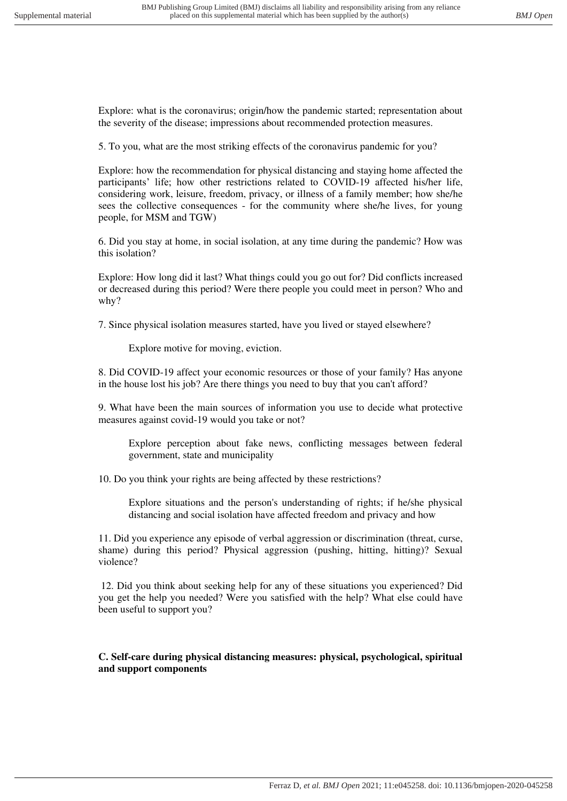Explore: what is the coronavirus; origin/how the pandemic started; representation about the severity of the disease; impressions about recommended protection measures.

5. To you, what are the most striking effects of the coronavirus pandemic for you?

Explore: how the recommendation for physical distancing and staying home affected the participants' life; how other restrictions related to COVID-19 affected his/her life, considering work, leisure, freedom, privacy, or illness of a family member; how she/he sees the collective consequences - for the community where she/he lives, for young people, for MSM and TGW)

6. Did you stay at home, in social isolation, at any time during the pandemic? How was this isolation?

Explore: How long did it last? What things could you go out for? Did conflicts increased or decreased during this period? Were there people you could meet in person? Who and why?

7. Since physical isolation measures started, have you lived or stayed elsewhere?

Explore motive for moving, eviction.

8. Did COVID-19 affect your economic resources or those of your family? Has anyone in the house lost his job? Are there things you need to buy that you can't afford?

9. What have been the main sources of information you use to decide what protective measures against covid-19 would you take or not?

Explore perception about fake news, conflicting messages between federal government, state and municipality

10. Do you think your rights are being affected by these restrictions?

Explore situations and the person's understanding of rights; if he/she physical distancing and social isolation have affected freedom and privacy and how

11. Did you experience any episode of verbal aggression or discrimination (threat, curse, shame) during this period? Physical aggression (pushing, hitting, hitting)? Sexual violence?

 12. Did you think about seeking help for any of these situations you experienced? Did you get the help you needed? Were you satisfied with the help? What else could have been useful to support you?

**C. Self-care during physical distancing measures: physical, psychological, spiritual and support components**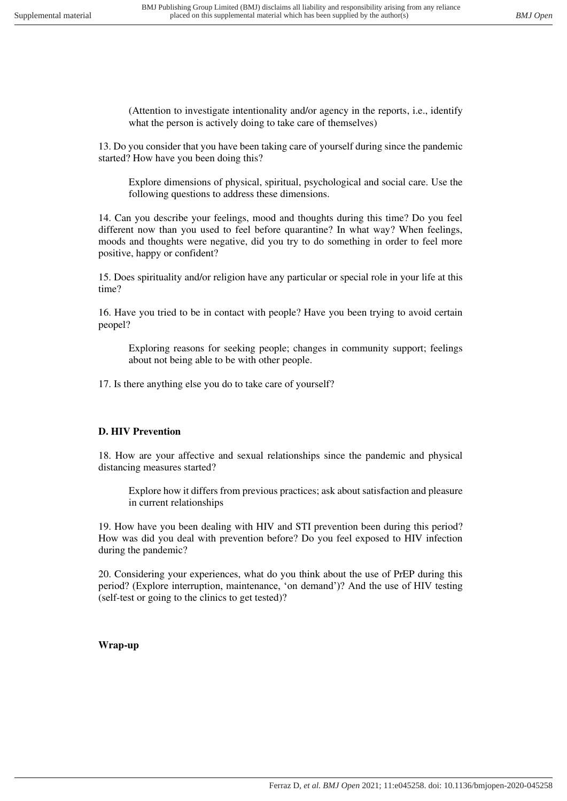(Attention to investigate intentionality and/or agency in the reports, i.e., identify what the person is actively doing to take care of themselves)

13. Do you consider that you have been taking care of yourself during since the pandemic started? How have you been doing this?

Explore dimensions of physical, spiritual, psychological and social care. Use the following questions to address these dimensions.

14. Can you describe your feelings, mood and thoughts during this time? Do you feel different now than you used to feel before quarantine? In what way? When feelings, moods and thoughts were negative, did you try to do something in order to feel more positive, happy or confident?

15. Does spirituality and/or religion have any particular or special role in your life at this time?

16. Have you tried to be in contact with people? Have you been trying to avoid certain peopel?

Exploring reasons for seeking people; changes in community support; feelings about not being able to be with other people.

17. Is there anything else you do to take care of yourself?

# **D. HIV Prevention**

18. How are your affective and sexual relationships since the pandemic and physical distancing measures started?

Explore how it differs from previous practices; ask about satisfaction and pleasure in current relationships

19. How have you been dealing with HIV and STI prevention been during this period? How was did you deal with prevention before? Do you feel exposed to HIV infection during the pandemic?

20. Considering your experiences, what do you think about the use of PrEP during this period? (Explore interruption, maintenance, 'on demand')? And the use of HIV testing (self-test or going to the clinics to get tested)?

# **Wrap-up**